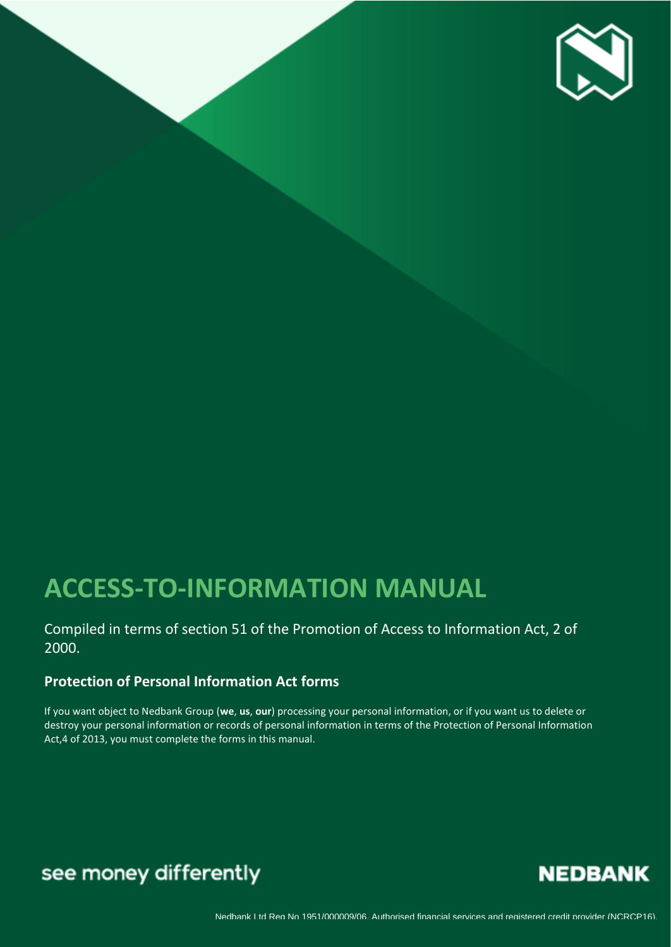

# **ACCESS-TO-INFORMATION MANUAL**

### Compiled in terms of section 51 of the Promotion of Access to Information Act, 2 of 2000.

## **Protection of Personal Information Act forms**

If you want object to Nedbank Group (**we**, **us**, **our**) processing your personal information, or if you want us to delete or destroy your personal information or records of personal information in terms of the Protection of Personal Information Act,4 of 2013, you must complete the forms in this manual.

## see money differently

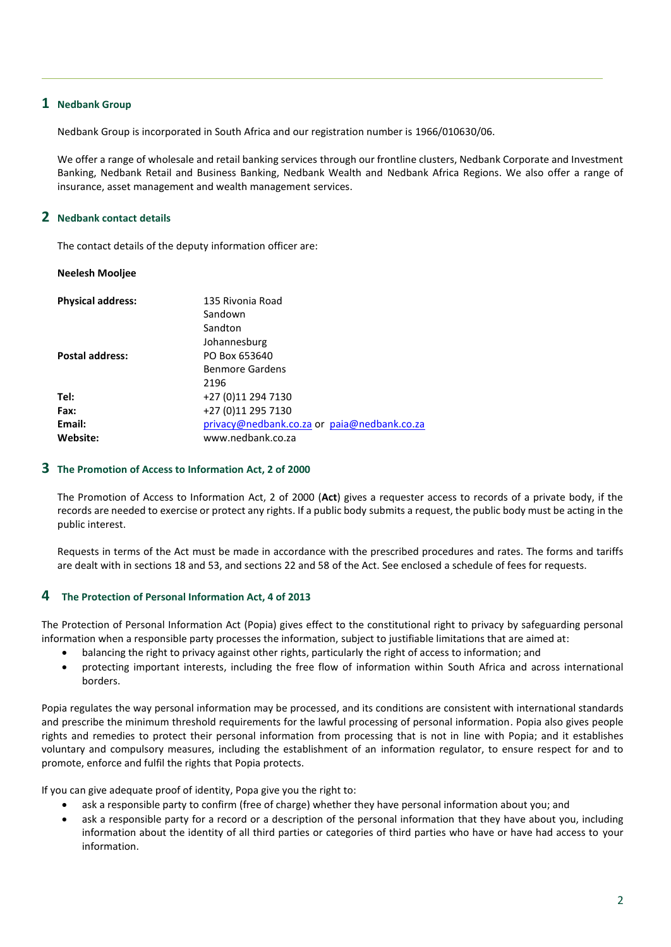#### **1 Nedbank Group**

Nedbank Group is incorporated in South Africa and our registration number is 1966/010630/06.

We offer a range of wholesale and retail banking services through our frontline clusters, Nedbank Corporate and Investment Banking, Nedbank Retail and Business Banking, Nedbank Wealth and Nedbank Africa Regions. We also offer a range of insurance, asset management and wealth management services.

#### **2 Nedbank contact details**

The contact details of the deputy information officer are:

#### **Neelesh Mooljee**

| <b>Physical address:</b> | 135 Rivonia Road                            |
|--------------------------|---------------------------------------------|
|                          | Sandown                                     |
|                          | Sandton                                     |
|                          | Johannesburg                                |
| <b>Postal address:</b>   | PO Box 653640                               |
|                          | <b>Benmore Gardens</b>                      |
|                          | 2196                                        |
| Tel:                     | +27 (0)11 294 7130                          |
| Fax:                     | +27 (0)11 295 7130                          |
| Email:                   | privacy@nedbank.co.za or paia@nedbank.co.za |
| Website:                 | www.nedbank.co.za                           |

#### **3 The Promotion of Access to Information Act, 2 of 2000**

The Promotion of Access to Information Act, 2 of 2000 (**Act**) gives a requester access to records of a private body, if the records are needed to exercise or protect any rights. If a public body submits a request, the public body must be acting in the public interest.

Requests in terms of the Act must be made in accordance with the prescribed procedures and rates. The forms and tariffs are dealt with in sections 18 and 53, and sections 22 and 58 of the Act. See enclosed a schedule of fees for requests.

#### **4 The Protection of Personal Information Act, 4 of 2013**

The Protection of Personal Information Act (Popia) gives effect to the constitutional right to privacy by safeguarding personal information when a responsible party processes the information, subject to justifiable limitations that are aimed at:

- balancing the right to privacy against other rights, particularly the right of access to information; and
- protecting important interests, including the free flow of information within South Africa and across international borders.

Popia regulates the way personal information may be processed, and its conditions are consistent with international standards and prescribe the minimum threshold requirements for the lawful processing of personal information. Popia also gives people rights and remedies to protect their personal information from processing that is not in line with Popia; and it establishes voluntary and compulsory measures, including the establishment of an information regulator, to ensure respect for and to promote, enforce and fulfil the rights that Popia protects.

If you can give adequate proof of identity, Popa give you the right to:

- ask a responsible party to confirm (free of charge) whether they have personal information about you; and
- ask a responsible party for a record or a description of the personal information that they have about you, including information about the identity of all third parties or categories of third parties who have or have had access to your information.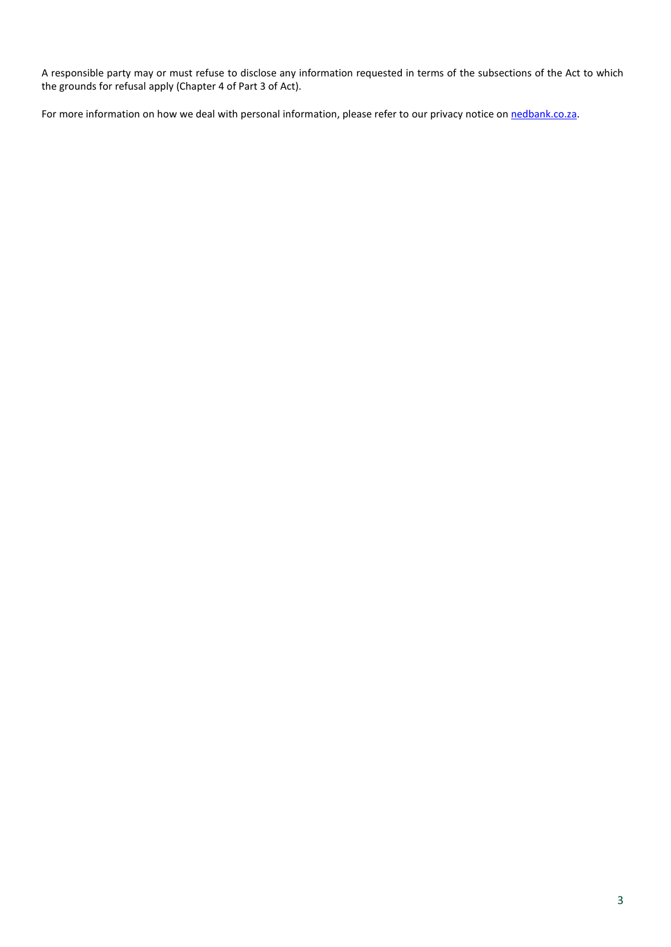A responsible party may or must refuse to disclose any information requested in terms of the subsections of the Act to which the grounds for refusal apply (Chapter 4 of Part 3 of Act).

For more information on how we deal with personal information, please refer to our privacy notice o[n nedbank.co.za.](http://nedbank.co.za/)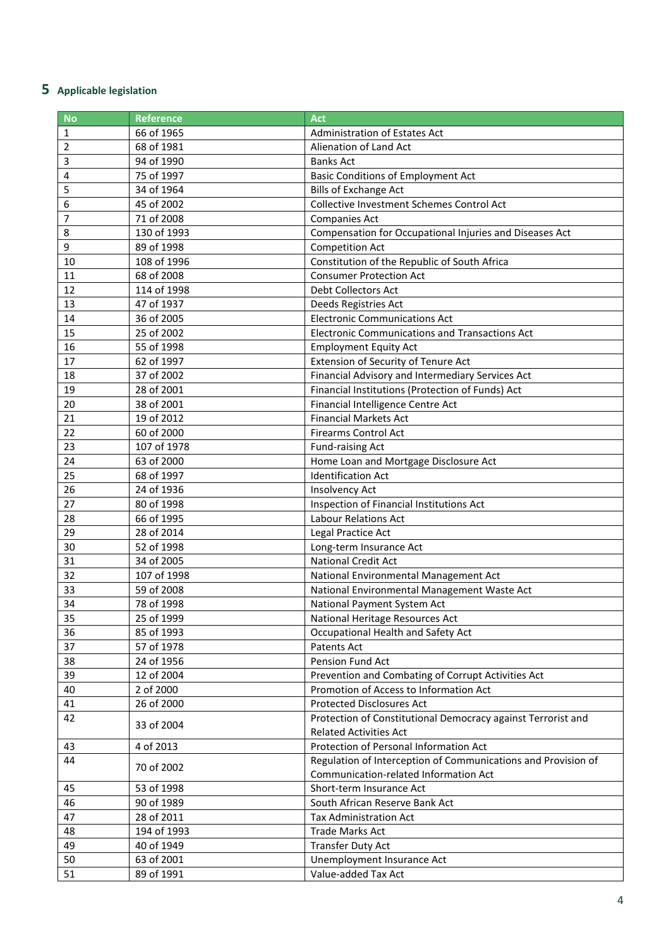## **Applicable legislation**

| <b>No</b> | <b>Reference</b> | <b>Act</b>                                                    |
|-----------|------------------|---------------------------------------------------------------|
| 1         | 66 of 1965       | Administration of Estates Act                                 |
| 2         | 68 of 1981       | Alienation of Land Act                                        |
| 3         | 94 of 1990       | <b>Banks Act</b>                                              |
| 4         | 75 of 1997       | <b>Basic Conditions of Employment Act</b>                     |
| 5         | 34 of 1964       | <b>Bills of Exchange Act</b>                                  |
| 6         | 45 of 2002       | Collective Investment Schemes Control Act                     |
| 7         | 71 of 2008       | Companies Act                                                 |
| 8         | 130 of 1993      | Compensation for Occupational Injuries and Diseases Act       |
| 9         | 89 of 1998       | <b>Competition Act</b>                                        |
| 10        | 108 of 1996      | Constitution of the Republic of South Africa                  |
| 11        | 68 of 2008       | <b>Consumer Protection Act</b>                                |
| 12        | 114 of 1998      | Debt Collectors Act                                           |
| 13        | 47 of 1937       | Deeds Registries Act                                          |
| 14        | 36 of 2005       | <b>Electronic Communications Act</b>                          |
| 15        | 25 of 2002       | <b>Electronic Communications and Transactions Act</b>         |
| 16        | 55 of 1998       | <b>Employment Equity Act</b>                                  |
| 17        | 62 of 1997       | Extension of Security of Tenure Act                           |
| 18        | 37 of 2002       | Financial Advisory and Intermediary Services Act              |
| 19        | 28 of 2001       | Financial Institutions (Protection of Funds) Act              |
| 20        | 38 of 2001       | Financial Intelligence Centre Act                             |
| 21        | 19 of 2012       | <b>Financial Markets Act</b>                                  |
| 22        | 60 of 2000       | <b>Firearms Control Act</b>                                   |
| 23        | 107 of 1978      | Fund-raising Act                                              |
| 24        | 63 of 2000       | Home Loan and Mortgage Disclosure Act                         |
| 25        | 68 of 1997       | <b>Identification Act</b>                                     |
| 26        | 24 of 1936       | Insolvency Act                                                |
| 27        | 80 of 1998       | Inspection of Financial Institutions Act                      |
| 28        | 66 of 1995       | <b>Labour Relations Act</b>                                   |
| 29        | 28 of 2014       | Legal Practice Act                                            |
| 30        | 52 of 1998       | Long-term Insurance Act                                       |
| 31        | 34 of 2005       | <b>National Credit Act</b>                                    |
| 32        | 107 of 1998      | National Environmental Management Act                         |
| 33        | 59 of 2008       | National Environmental Management Waste Act                   |
| 34        | 78 of 1998       | National Payment System Act                                   |
| 35        | 25 of 1999       | National Heritage Resources Act                               |
| 36        | 85 of 1993       | Occupational Health and Safety Act                            |
| 37        | 57 of 1978       | Patents Act                                                   |
| 38        | 24 of 1956       | Pension Fund Act                                              |
| 39        | 12 of 2004       | Prevention and Combating of Corrupt Activities Act            |
| 40        | 2 of 2000        | Promotion of Access to Information Act                        |
| 41        | 26 of 2000       | <b>Protected Disclosures Act</b>                              |
| 42        | 33 of 2004       | Protection of Constitutional Democracy against Terrorist and  |
|           |                  | <b>Related Activities Act</b>                                 |
| 43        | 4 of 2013        | Protection of Personal Information Act                        |
| 44        | 70 of 2002       | Regulation of Interception of Communications and Provision of |
|           |                  | Communication-related Information Act                         |
| 45        | 53 of 1998       | Short-term Insurance Act                                      |
| 46        | 90 of 1989       | South African Reserve Bank Act                                |
| 47        | 28 of 2011       | Tax Administration Act                                        |
| 48        | 194 of 1993      | <b>Trade Marks Act</b>                                        |
| 49        | 40 of 1949       | <b>Transfer Duty Act</b>                                      |
| 50        | 63 of 2001       | Unemployment Insurance Act                                    |
| 51        | 89 of 1991       | Value-added Tax Act                                           |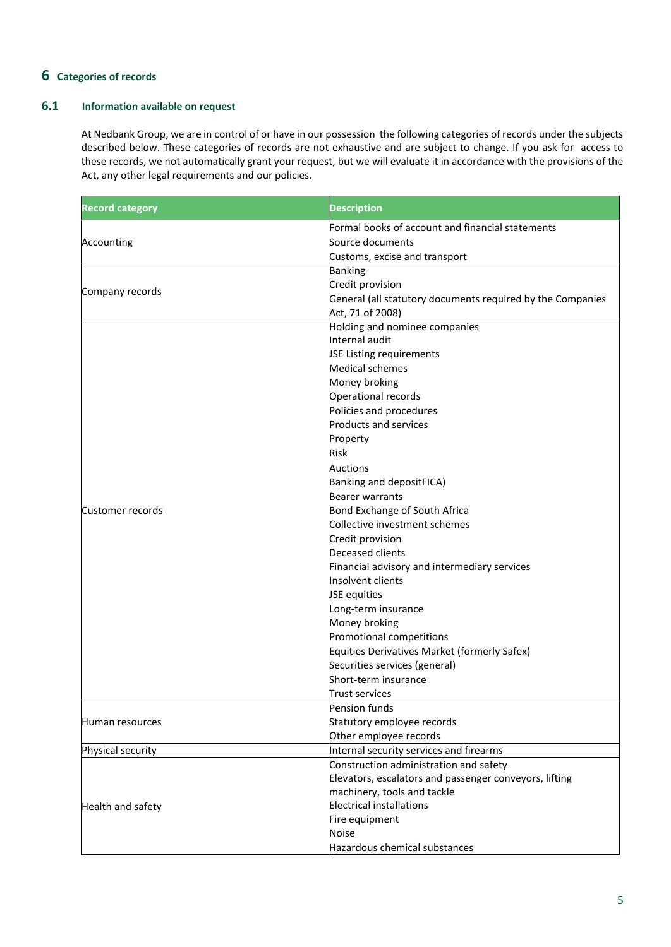#### **6 Categories of records**

#### **6.1 Information available on request**

At Nedbank Group, we are in control of or have in our possession the following categories of records under the subjects described below. These categories of records are not exhaustive and are subject to change. If you ask for access to these records, we not automatically grant your request, but we will evaluate it in accordance with the provisions of the Act, any other legal requirements and our policies.

| <b>Record category</b> | <b>Description</b>                                         |  |  |  |
|------------------------|------------------------------------------------------------|--|--|--|
|                        | Formal books of account and financial statements           |  |  |  |
| Accounting             | Source documents                                           |  |  |  |
|                        | Customs, excise and transport                              |  |  |  |
|                        | <b>Banking</b>                                             |  |  |  |
|                        | Credit provision                                           |  |  |  |
| Company records        | General (all statutory documents required by the Companies |  |  |  |
|                        | Act, 71 of 2008)                                           |  |  |  |
|                        | Holding and nominee companies                              |  |  |  |
|                        | Internal audit                                             |  |  |  |
|                        | <b>JSE Listing requirements</b>                            |  |  |  |
|                        | <b>Medical schemes</b>                                     |  |  |  |
|                        | Money broking                                              |  |  |  |
|                        | Operational records                                        |  |  |  |
|                        | Policies and procedures                                    |  |  |  |
|                        | Products and services                                      |  |  |  |
|                        | Property                                                   |  |  |  |
|                        | <b>Risk</b>                                                |  |  |  |
|                        | <b>Auctions</b>                                            |  |  |  |
|                        | Banking and depositFICA)                                   |  |  |  |
|                        |                                                            |  |  |  |
|                        | <b>Bearer warrants</b>                                     |  |  |  |
| Customer records       | Bond Exchange of South Africa                              |  |  |  |
|                        | Collective investment schemes                              |  |  |  |
|                        | Credit provision                                           |  |  |  |
|                        | Deceased clients                                           |  |  |  |
|                        | Financial advisory and intermediary services               |  |  |  |
|                        | Insolvent clients                                          |  |  |  |
|                        | JSE equities                                               |  |  |  |
|                        | Long-term insurance                                        |  |  |  |
|                        | Money broking                                              |  |  |  |
|                        | Promotional competitions                                   |  |  |  |
|                        | Equities Derivatives Market (formerly Safex)               |  |  |  |
|                        | Securities services (general)                              |  |  |  |
|                        | Short-term insurance                                       |  |  |  |
|                        | <b>Trust services</b>                                      |  |  |  |
|                        | Pension funds                                              |  |  |  |
| Human resources        | Statutory employee records                                 |  |  |  |
|                        | Other employee records                                     |  |  |  |
| Physical security      | Internal security services and firearms                    |  |  |  |
|                        | Construction administration and safety                     |  |  |  |
|                        | Elevators, escalators and passenger conveyors, lifting     |  |  |  |
|                        | machinery, tools and tackle                                |  |  |  |
| Health and safety      | <b>Electrical installations</b>                            |  |  |  |
|                        | Fire equipment                                             |  |  |  |
|                        | Noise                                                      |  |  |  |
|                        | Hazardous chemical substances                              |  |  |  |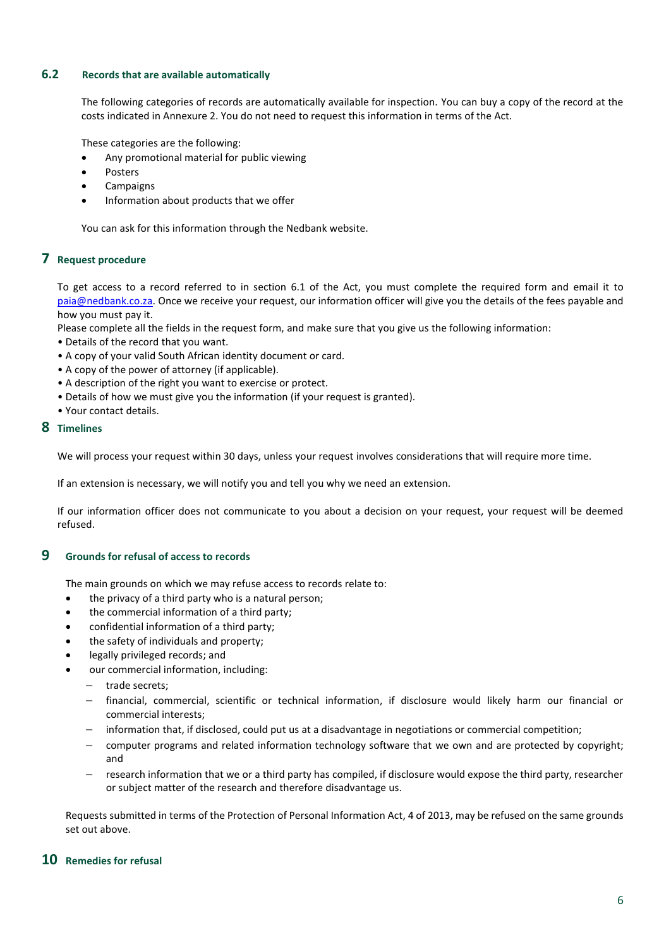#### **6.2 Records that are available automatically**

The following categories of records are automatically available for inspection. You can buy a copy of the record at the costs indicated in Annexure 2. You do not need to request this information in terms of the Act.

These categories are the following:

- Any promotional material for public viewing
- **Posters**
- **Campaigns**
- Information about products that we offer

You can ask for this information through the Nedbank website.

#### **7 Request procedure**

To get access to a record referred to in section 6.1 of the Act, you must complete the required form and email it to [paia@nedbank.co.za.](mailto:paia@nedbank.co.za) Once we receive your request, our information officer will give you the details of the fees payable and how you must pay it.

Please complete all the fields in the request form, and make sure that you give us the following information:

- Details of the record that you want.
- A copy of your valid South African identity document or card.
- A copy of the power of attorney (if applicable).
- A description of the right you want to exercise or protect.
- Details of how we must give you the information (if your request is granted).
- Your contact details.

#### **8 Timelines**

We will process your request within 30 days, unless your request involves considerations that will require more time.

If an extension is necessary, we will notify you and tell you why we need an extension.

If our information officer does not communicate to you about a decision on your request, your request will be deemed refused.

#### **9 Grounds for refusal of access to records**

The main grounds on which we may refuse access to records relate to:

- the privacy of a third party who is a natural person;
- the commercial information of a third party;
- confidential information of a third party;
- the safety of individuals and property;
- legally privileged records; and
- our commercial information, including:
	- − trade secrets;
	- financial, commercial, scientific or technical information, if disclosure would likely harm our financial or commercial interests;
	- information that, if disclosed, could put us at a disadvantage in negotiations or commercial competition;
	- − computer programs and related information technology software that we own and are protected by copyright; and
	- − research information that we or a third party has compiled, if disclosure would expose the third party, researcher or subject matter of the research and therefore disadvantage us.

Requests submitted in terms of the Protection of Personal Information Act, 4 of 2013, may be refused on the same grounds set out above.

#### **10 Remedies for refusal**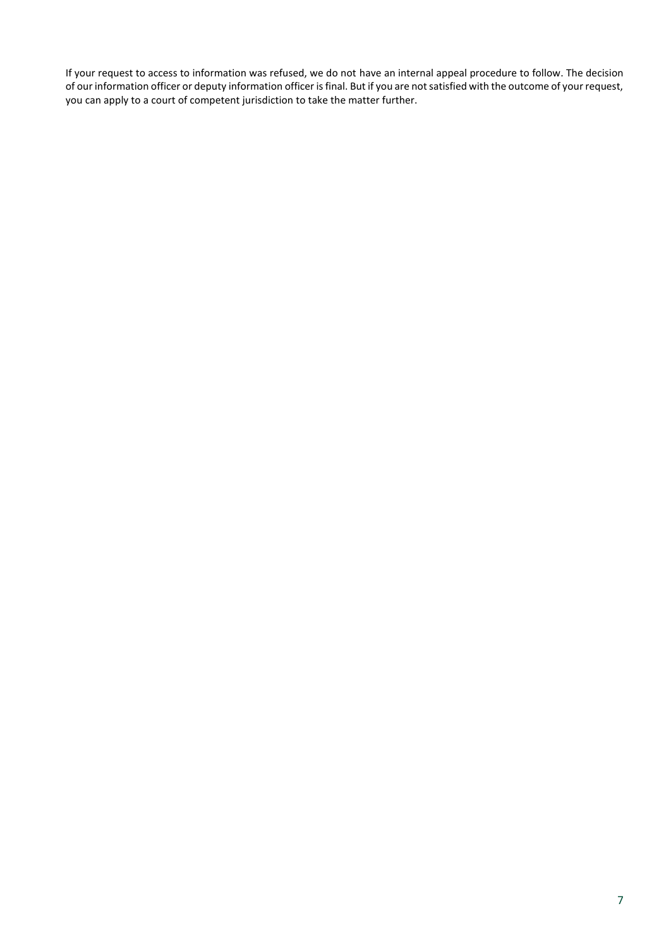If your request to access to information was refused, we do not have an internal appeal procedure to follow. The decision of our information officer or deputy information officer is final. But if you are not satisfied with the outcome of your request, you can apply to a court of competent jurisdiction to take the matter further.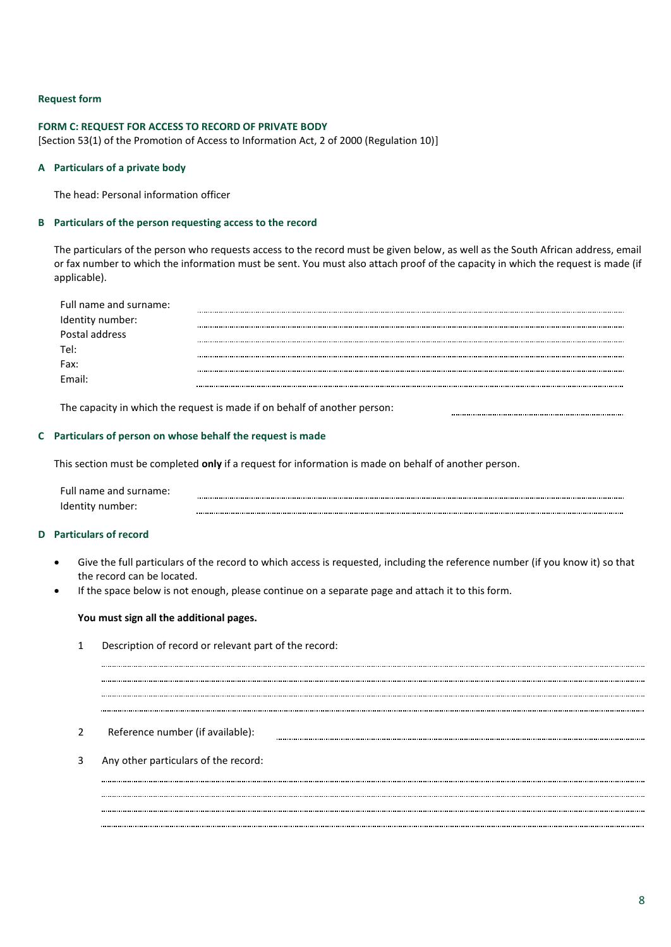#### **Request form**

#### **FORM C: REQUEST FOR ACCESS TO RECORD OF PRIVATE BODY**

[Section 53(1) of the Promotion of Access to Information Act, 2 of 2000 (Regulation 10)]

#### **A Particulars of a private body**

The head: Personal information officer

#### **B Particulars of the person requesting access to the record**

The particulars of the person who requests access to the record must be given below, as well as the South African address, email or fax number to which the information must be sent. You must also attach proof of the capacity in which the request is made (if applicable).

| Full name and surname: |  |
|------------------------|--|
| Identity number:       |  |
| Postal address         |  |
| Tel:                   |  |
| Fax:                   |  |
| Fmail:                 |  |

The capacity in which the request is made if on behalf of another person:

#### **C Particulars of person on whose behalf the request is made**

This section must be completed **only** if a request for information is made on behalf of another person.

| Full name and surname: |  |
|------------------------|--|
| Identity number:       |  |

#### **D Particulars of record**

• Give the full particulars of the record to which access is requested, including the reference number (if you know it) so that the record can be located.

• If the space below is not enough, please continue on a separate page and attach it to this form.

#### **You must sign all the additional pages.**

1 Description of record or relevant part of the record:

#### 2 Reference number (if available):

3 Any other particulars of the record: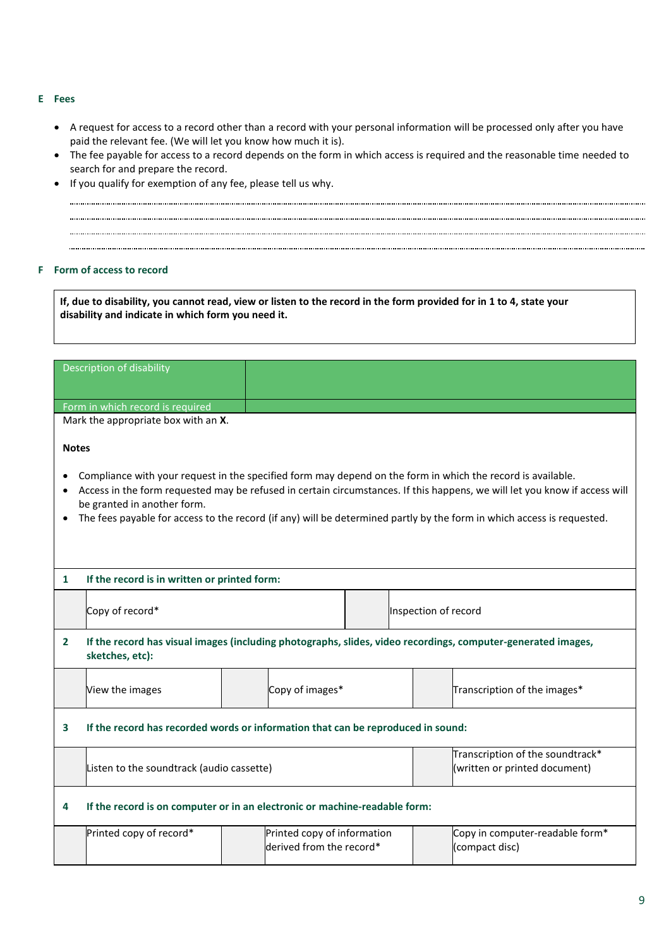#### **E Fees**

- A request for access to a record other than a record with your personal information will be processed only after you have paid the relevant fee. (We will let you know how much it is).
- The fee payable for access to a record depends on the form in which access is required and the reasonable time needed to search for and prepare the record.
- If you qualify for exemption of any fee, please tell us why.

#### **F Form of access to record**

**If, due to disability, you cannot read, view or listen to the record in the form provided for in 1 to 4, state your disability and indicate in which form you need it.** 

|              | Description of disability                                                                                                                                                                                                                                                           |  |                                                         |                      |                                                                   |                              |                                                   |
|--------------|-------------------------------------------------------------------------------------------------------------------------------------------------------------------------------------------------------------------------------------------------------------------------------------|--|---------------------------------------------------------|----------------------|-------------------------------------------------------------------|------------------------------|---------------------------------------------------|
|              | Form in which record is required                                                                                                                                                                                                                                                    |  |                                                         |                      |                                                                   |                              |                                                   |
|              | Mark the appropriate box with an X.                                                                                                                                                                                                                                                 |  |                                                         |                      |                                                                   |                              |                                                   |
| <b>Notes</b> | Compliance with your request in the specified form may depend on the form in which the record is available.                                                                                                                                                                         |  |                                                         |                      |                                                                   |                              |                                                   |
|              | Access in the form requested may be refused in certain circumstances. If this happens, we will let you know if access will<br>be granted in another form.<br>The fees payable for access to the record (if any) will be determined partly by the form in which access is requested. |  |                                                         |                      |                                                                   |                              |                                                   |
| $\mathbf{1}$ | If the record is in written or printed form:                                                                                                                                                                                                                                        |  |                                                         |                      |                                                                   |                              |                                                   |
|              | Copy of record*                                                                                                                                                                                                                                                                     |  |                                                         | Inspection of record |                                                                   |                              |                                                   |
| $\mathbf{2}$ | If the record has visual images (including photographs, slides, video recordings, computer-generated images,<br>sketches, etc):                                                                                                                                                     |  |                                                         |                      |                                                                   |                              |                                                   |
|              | View the images                                                                                                                                                                                                                                                                     |  | Copy of images*                                         |                      |                                                                   | Transcription of the images* |                                                   |
| 3            | If the record has recorded words or information that can be reproduced in sound:                                                                                                                                                                                                    |  |                                                         |                      |                                                                   |                              |                                                   |
|              | Listen to the soundtrack (audio cassette)                                                                                                                                                                                                                                           |  |                                                         |                      | Transcription of the soundtrack*<br>(written or printed document) |                              |                                                   |
| 4            | If the record is on computer or in an electronic or machine-readable form:                                                                                                                                                                                                          |  |                                                         |                      |                                                                   |                              |                                                   |
|              | Printed copy of record*                                                                                                                                                                                                                                                             |  | Printed copy of information<br>derived from the record* |                      |                                                                   |                              | Copy in computer-readable form*<br>(compact disc) |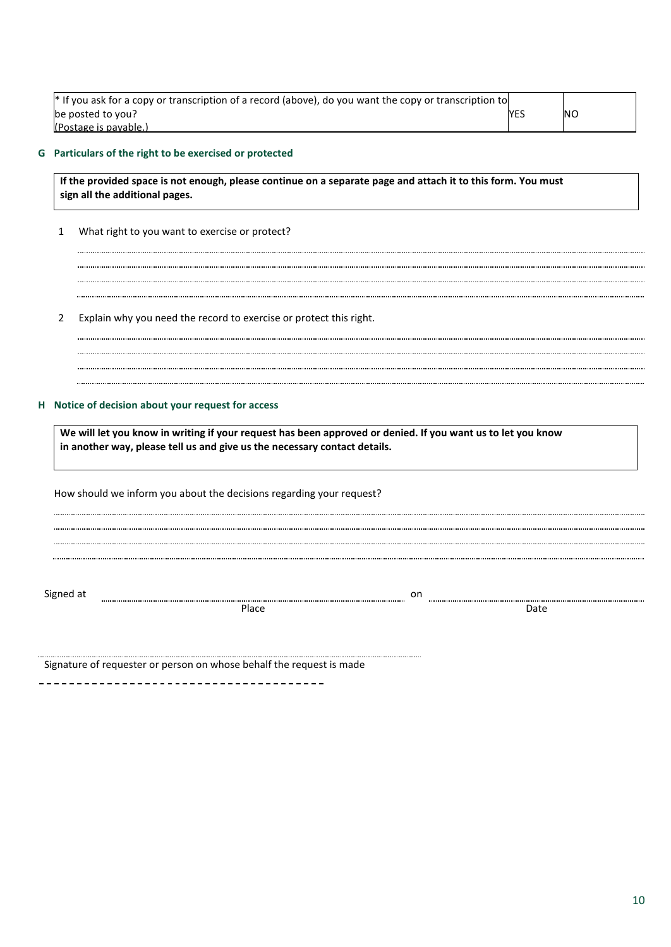| * If you ask for a copy or transcription of a record (above), do you want the copy or transcription to |            |    |
|--------------------------------------------------------------------------------------------------------|------------|----|
| be posted to you?                                                                                      | <b>YES</b> | ΝO |
| (Postage is pavable.)                                                                                  |            |    |

#### **G Particulars of the right to be exercised or protected**

**If the provided space is not enough, please continue on a separate page and attach it to this form. You must sign all the additional pages.**

- 1 What right to you want to exercise or protect?
- 2 Explain why you need the record to exercise or protect this right.
	-

#### **H Notice of decision about your request for access**

**We will let you know in writing if your request has been approved or denied. If you want us to let you know in another way, please tell us and give us the necessary contact details.**

How should we inform you about the decisions regarding your request?

Signed at www.communically.communically.communically.communically.communically.communically.communically.communically.communically.communically.communically.communically.communically.communically.communically.communically.

Place Date Date Date Date Date Date Date

Signature of requester or person on whose behalf the request is made

\_\_\_\_\_\_\_\_\_\_\_\_\_\_\_\_\_\_\_\_\_\_\_\_\_\_\_\_\_\_\_\_\_\_\_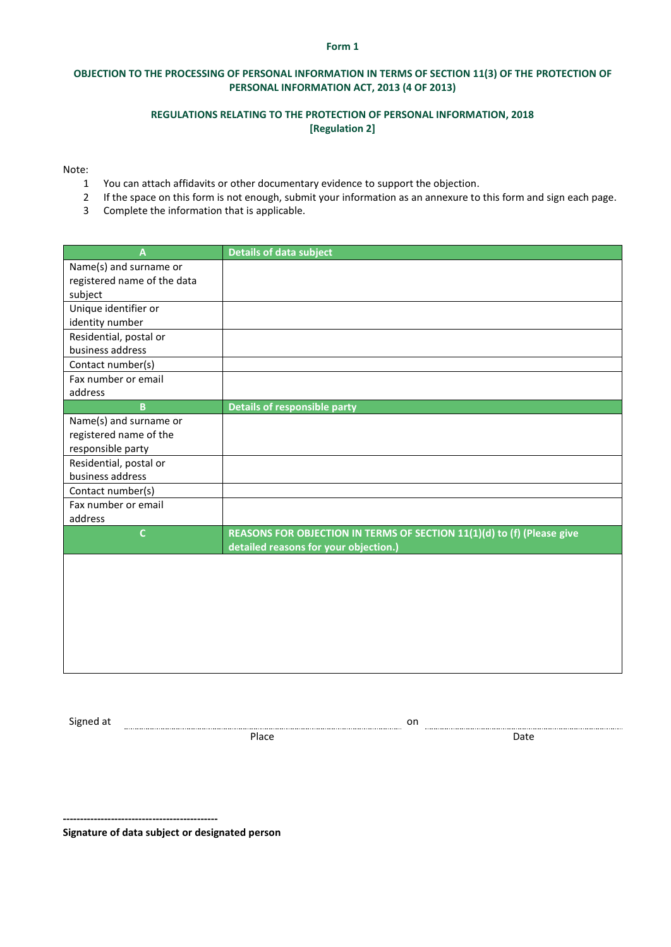#### **Form 1**

#### **OBJECTION TO THE PROCESSING OF PERSONAL INFORMATION IN TERMS OF SECTION 11(3) OF THE PROTECTION OF PERSONAL INFORMATION ACT, 2013 (4 OF 2013)**

#### **REGULATIONS RELATING TO THE PROTECTION OF PERSONAL INFORMATION, 2018 [Regulation 2]**

Note:

- 1 You can attach affidavits or other documentary evidence to support the objection.
- 2 If the space on this form is not enough, submit your information as an annexure to this form and sign each page.
- 3 Complete the information that is applicable.

| A                           | <b>Details of data subject</b>                                         |
|-----------------------------|------------------------------------------------------------------------|
| Name(s) and surname or      |                                                                        |
| registered name of the data |                                                                        |
| subject                     |                                                                        |
| Unique identifier or        |                                                                        |
| identity number             |                                                                        |
| Residential, postal or      |                                                                        |
| business address            |                                                                        |
| Contact number(s)           |                                                                        |
| Fax number or email         |                                                                        |
| address                     |                                                                        |
| $\overline{B}$              | <b>Details of responsible party</b>                                    |
| Name(s) and surname or      |                                                                        |
| registered name of the      |                                                                        |
| responsible party           |                                                                        |
| Residential, postal or      |                                                                        |
| business address            |                                                                        |
| Contact number(s)           |                                                                        |
| Fax number or email         |                                                                        |
| address                     |                                                                        |
| $\mathsf{C}$                | REASONS FOR OBJECTION IN TERMS OF SECTION 11(1)(d) to (f) (Please give |
|                             | detailed reasons for your objection.)                                  |
|                             |                                                                        |
|                             |                                                                        |
|                             |                                                                        |
|                             |                                                                        |
|                             |                                                                        |
|                             |                                                                        |
|                             |                                                                        |
|                             |                                                                        |

Signed at **one of the set of the set of the set of the set of the set of the set of the set of the set of the set of the set of the set of the set of the set of the set of the set of the set of the set of the set of the se** 

Place Date Date Date Date Date

**--------------------------------------------- Signature of data subject or designated person**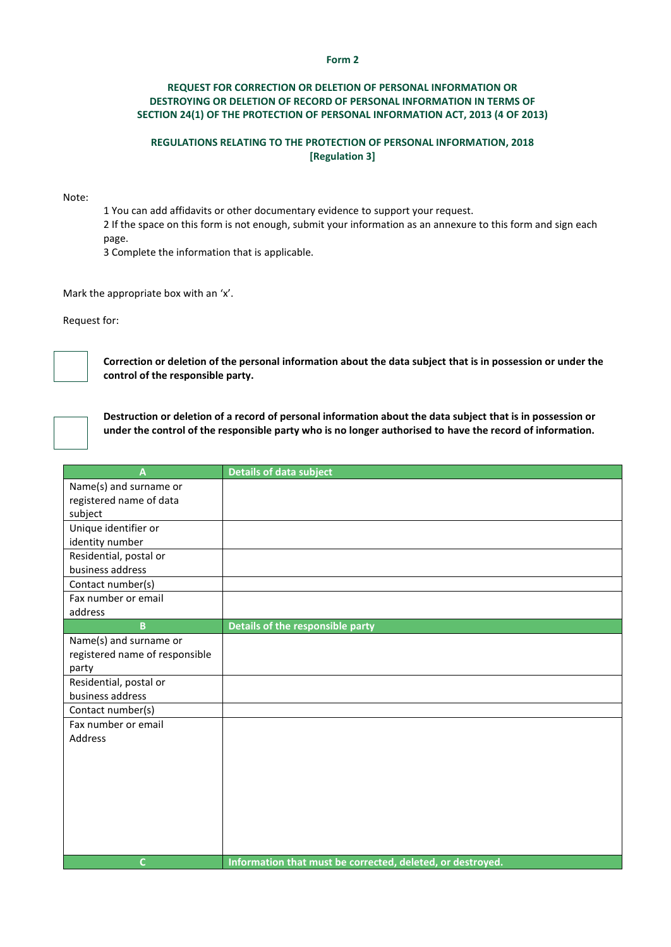#### **Form 2**

#### **REQUEST FOR CORRECTION OR DELETION OF PERSONAL INFORMATION OR DESTROYING OR DELETION OF RECORD OF PERSONAL INFORMATION IN TERMS OF SECTION 24(1) OF THE PROTECTION OF PERSONAL INFORMATION ACT, 2013 (4 OF 2013)**

#### **REGULATIONS RELATING TO THE PROTECTION OF PERSONAL INFORMATION, 2018 [Regulation 3]**

Note:

1 You can add affidavits or other documentary evidence to support your request.

2 If the space on this form is not enough, submit your information as an annexure to this form and sign each page.

3 Complete the information that is applicable.

Mark the appropriate box with an 'x'.

Request for:



**Correction or deletion of the personal information about the data subject that is in possession or under the control of the responsible party.**

**Destruction or deletion of a record of personal information about the data subject that is in possession or under the control of the responsible party who is no longer authorised to have the record of information.**

| $\overline{\mathsf{A}}$        | <b>Details of data subject</b>                             |
|--------------------------------|------------------------------------------------------------|
| Name(s) and surname or         |                                                            |
| registered name of data        |                                                            |
| subject                        |                                                            |
| Unique identifier or           |                                                            |
| identity number                |                                                            |
| Residential, postal or         |                                                            |
| business address               |                                                            |
| Contact number(s)              |                                                            |
| Fax number or email            |                                                            |
| address                        |                                                            |
| $\mathbf{B}$                   | Details of the responsible party                           |
| Name(s) and surname or         |                                                            |
| registered name of responsible |                                                            |
| party                          |                                                            |
| Residential, postal or         |                                                            |
| business address               |                                                            |
| Contact number(s)              |                                                            |
| Fax number or email            |                                                            |
| Address                        |                                                            |
|                                |                                                            |
|                                |                                                            |
|                                |                                                            |
|                                |                                                            |
|                                |                                                            |
|                                |                                                            |
|                                |                                                            |
| $\mathsf{C}$                   | Information that must be corrected, deleted, or destroyed. |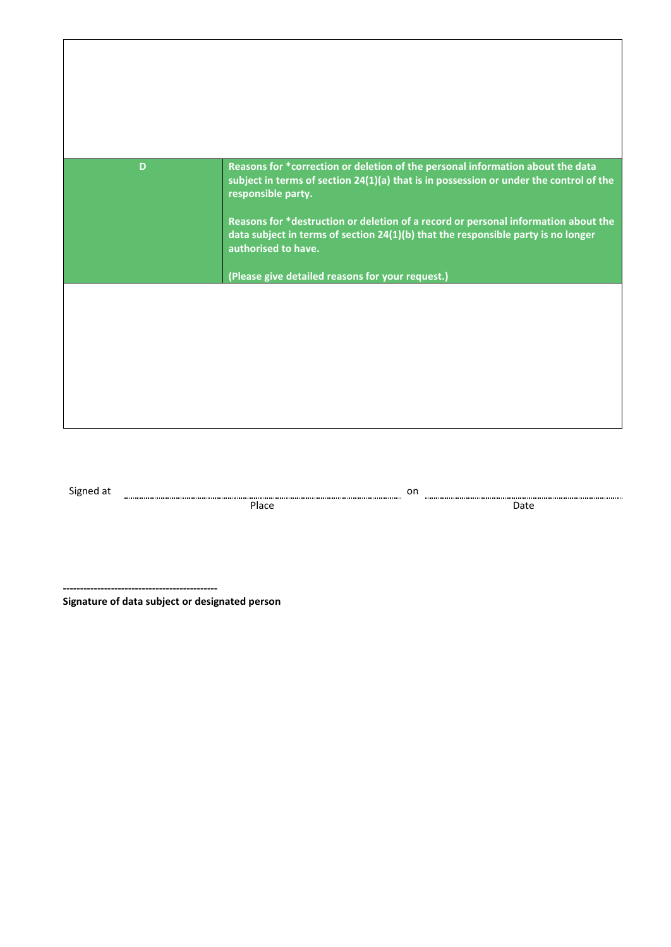| D         | Reasons for *correction or deletion of the personal information about the data<br>subject in terms of section 24(1)(a) that is in possession or under the control of the<br>responsible party. |
|-----------|------------------------------------------------------------------------------------------------------------------------------------------------------------------------------------------------|
|           | Reasons for *destruction or deletion of a record or personal information about the<br>data subject in terms of section 24(1)(b) that the responsible party is no longer<br>authorised to have. |
|           | (Please give detailed reasons for your request.)                                                                                                                                               |
|           |                                                                                                                                                                                                |
|           |                                                                                                                                                                                                |
| Signed at | on                                                                                                                                                                                             |

Place Date Date Date Date Date

**---------------------------------------------**

**Signature of data subject or designated person**